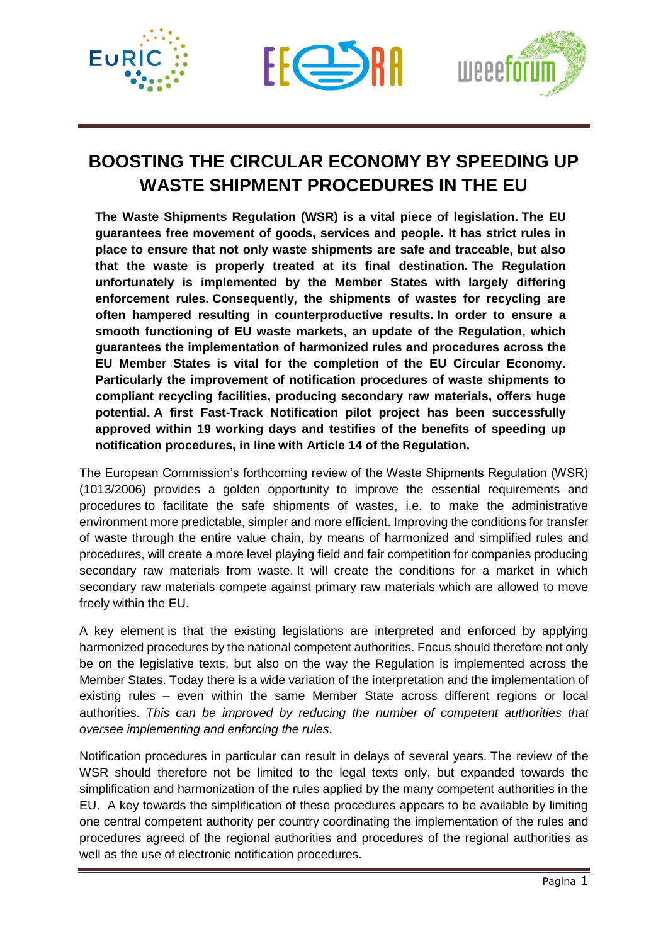





## **BOOSTING THE CIRCULAR ECONOMY BY SPEEDING UP WASTE SHIPMENT PROCEDURES IN THE EU**

**The Waste Shipments Regulation (WSR) is a vital piece of legislation. The EU guarantees free movement of goods, services and people. It has strict rules in place to ensure that not only waste shipments are safe and traceable, but also that the waste is properly treated at its final destination. The Regulation unfortunately is implemented by the Member States with largely differing enforcement rules. Consequently, the shipments of wastes for recycling are often hampered resulting in counterproductive results. In order to ensure a smooth functioning of EU waste markets, an update of the Regulation, which guarantees the implementation of harmonized rules and procedures across the EU Member States is vital for the completion of the EU Circular Economy. Particularly the improvement of notification procedures of waste shipments to compliant recycling facilities, producing secondary raw materials, offers huge potential. A first Fast-Track Notification pilot project has been successfully approved within 19 working days and testifies of the benefits of speeding up notification procedures, in line with Article 14 of the Regulation.** 

The European Commission's forthcoming review of the Waste Shipments Regulation (WSR) (1013/2006) provides a golden opportunity to improve the essential requirements and procedures to facilitate the safe shipments of wastes, i.e. to make the administrative environment more predictable, simpler and more efficient. Improving the conditions for transfer of waste through the entire value chain, by means of harmonized and simplified rules and procedures, will create a more level playing field and fair competition for companies producing secondary raw materials from waste. It will create the conditions for a market in which secondary raw materials compete against primary raw materials which are allowed to move freely within the EU.

A key element is that the existing legislations are interpreted and enforced by applying harmonized procedures by the national competent authorities. Focus should therefore not only be on the legislative texts, but also on the way the Regulation is implemented across the Member States. Today there is a wide variation of the interpretation and the implementation of existing rules – even within the same Member State across different regions or local authorities. *This can be improved by reducing the number of competent authorities that oversee implementing and enforcing the rules.*

Notification procedures in particular can result in delays of several years. The review of the WSR should therefore not be limited to the legal texts only, but expanded towards the simplification and harmonization of the rules applied by the many competent authorities in the EU. A key towards the simplification of these procedures appears to be available by limiting one central competent authority per country coordinating the implementation of the rules and procedures agreed of the regional authorities and procedures of the regional authorities as well as the use of electronic notification procedures.